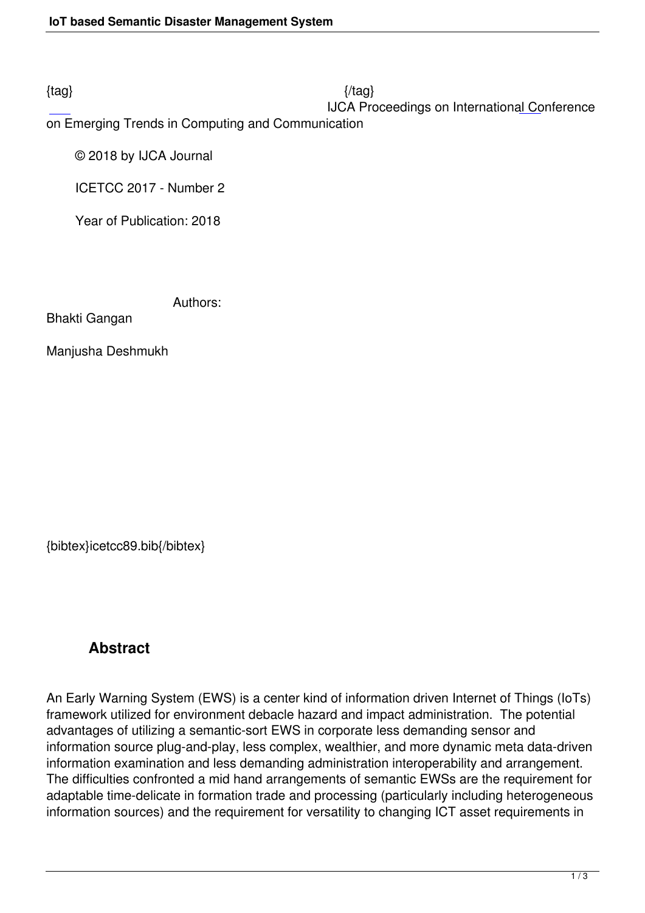### IJCA Proceedings on International Conference

on Emerging Trends in Computing and Communication

© 2018 by IJCA Journal

ICETCC 2017 - Number 2

Year of Publication: 2018

Authors:

Bhakti Gangan

Manjusha Deshmukh

{bibtex}icetcc89.bib{/bibtex}

## **Abstract**

An Early Warning System (EWS) is a center kind of information driven Internet of Things (IoTs) framework utilized for environment debacle hazard and impact administration. The potential advantages of utilizing a semantic-sort EWS in corporate less demanding sensor and information source plug-and-play, less complex, wealthier, and more dynamic meta data-driven information examination and less demanding administration interoperability and arrangement. The difficulties confronted a mid hand arrangements of semantic EWSs are the requirement for adaptable time-delicate in formation trade and processing (particularly including heterogeneous information sources) and the requirement for versatility to changing ICT asset requirements in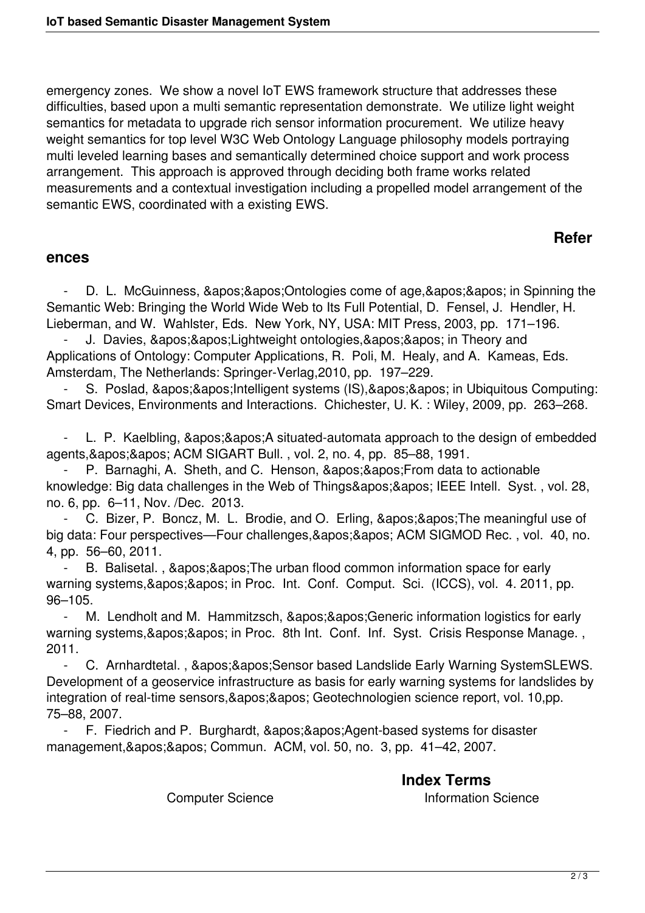emergency zones. We show a novel IoT EWS framework structure that addresses these difficulties, based upon a multi semantic representation demonstrate. We utilize light weight semantics for metadata to upgrade rich sensor information procurement. We utilize heavy weight semantics for top level W3C Web Ontology Language philosophy models portraying multi leveled learning bases and semantically determined choice support and work process arrangement. This approach is approved through deciding both frame works related measurements and a contextual investigation including a propelled model arrangement of the semantic EWS, coordinated with a existing EWS.

# **Refer**

#### **ences**

D. L. McGuinness, ' ' Ontologies come of age, ' ' in Spinning the Semantic Web: Bringing the World Wide Web to Its Full Potential, D. Fensel, J. Hendler, H. Lieberman, and W. Wahlster, Eds. New York, NY, USA: MIT Press, 2003, pp. 171–196.

J. Davies, ' ' Lightweight ontologies, ' ' in Theory and Applications of Ontology: Computer Applications, R. Poli, M. Healy, and A. Kameas, Eds. Amsterdam, The Netherlands: Springer-Verlag,2010, pp. 197–229.

S. Poslad, ' ' Intelligent systems (IS), ' ' in Ubiquitous Computing: Smart Devices, Environments and Interactions. Chichester, U. K. : Wiley, 2009, pp. 263–268.

L. P. Kaelbling, & apos; & apos; A situated-automata approach to the design of embedded agents, & apos; & apos; ACM SIGART Bull., vol. 2, no. 4, pp. 85–88, 1991.

P. Barnaghi, A. Sheth, and C. Henson, &apos: &apos: From data to actionable knowledge: Big data challenges in the Web of Things' ' IEEE Intell. Syst., vol. 28, no. 6, pp. 6–11, Nov. /Dec. 2013.

C. Bizer, P. Boncz, M. L. Brodie, and O. Erling, ' ' The meaningful use of big data: Four perspectives—Four challenges,'' ACM SIGMOD Rec., vol. 40, no. 4, pp. 56–60, 2011.

B. Balisetal., & apos: & apos: The urban flood common information space for early warning systems, & apos; & apos; in Proc. Int. Conf. Comput. Sci. (ICCS), vol. 4. 2011, pp. 96–105.

M. Lendholt and M. Hammitzsch, &apos: &apos: Generic information logistics for early warning systems, & apos; & apos; in Proc. 8th Int. Conf. Inf. Syst. Crisis Response Manage., 2011.

C. Arnhardtetal., ' ' Sensor based Landslide Early Warning SystemSLEWS. Development of a geoservice infrastructure as basis for early warning systems for landslides by integration of real-time sensors, & apos; & apos; Geotechnologien science report, vol. 10, pp. 75–88, 2007.

F. Fiedrich and P. Burghardt, ' ' Agent-based systems for disaster management, & apos; & apos; Commun. ACM, vol. 50, no. 3, pp. 41–42, 2007.

> **Index Terms**  Computer Science **Information** Science